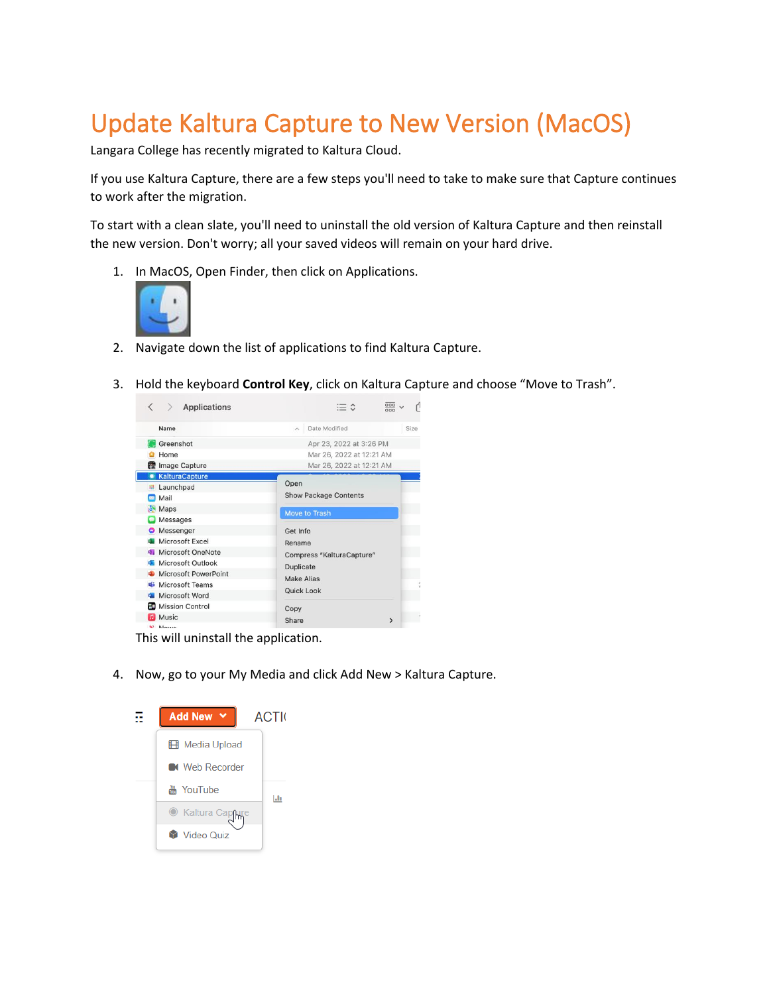## Update Kaltura Capture to New Version (MacOS)

Langara College has recently migrated to Kaltura Cloud.

If you use Kaltura Capture, there are a few steps you'll need to take to make sure that Capture continues to work after the migration.

To start with a clean slate, you'll need to uninstall the old version of Kaltura Capture and then reinstall the new version. Don't worry; all your saved videos will remain on your hard drive.

1. In MacOS, Open Finder, then click on Applications.



- 2. Navigate down the list of applications to find Kaltura Capture.
- 3. Hold the keyboard **Control Key**, click on Kaltura Capture and choose "Move to Trash".

| <b>Applications</b><br>$\rightarrow$ | 噩                                                     |  |  |
|--------------------------------------|-------------------------------------------------------|--|--|
| Name                                 | Date Modified<br>Size<br>$\widehat{\phantom{a}}$      |  |  |
| Greenshot                            | Apr 23, 2022 at 3:26 PM                               |  |  |
| Home                                 | Mar 26, 2022 at 12:21 AM                              |  |  |
| Image Capture                        | Mar 26, 2022 at 12:21 AM                              |  |  |
| KalturaCapture                       |                                                       |  |  |
| <b>E</b> Launchpad                   | Open<br><b>Show Package Contents</b><br>Move to Trash |  |  |
| Mail                                 |                                                       |  |  |
| <b>Maps</b>                          |                                                       |  |  |
| <b>D</b> Messages                    |                                                       |  |  |
| Messenger                            | Get Info                                              |  |  |
| Microsoft Excel                      | Rename<br>Compress "KalturaCapture"<br>Duplicate      |  |  |
| <b>J</b> Microsoft OneNote           |                                                       |  |  |
| Microsoft Outlook                    |                                                       |  |  |
| Microsoft PowerPoint<br>d.           | Make Alias                                            |  |  |
| <b>Microsoft Teams</b><br>瑶          |                                                       |  |  |
| Microsoft Word<br>$\overline{u}$     | Quick Look<br>Copy<br>Share<br>$\mathcal Y$           |  |  |
| <b>ED</b> Mission Control            |                                                       |  |  |
| <b>D</b> Music                       |                                                       |  |  |
| N Nouve                              |                                                       |  |  |

This will uninstall the application.

4. Now, go to your My Media and click Add New > Kaltura Capture.

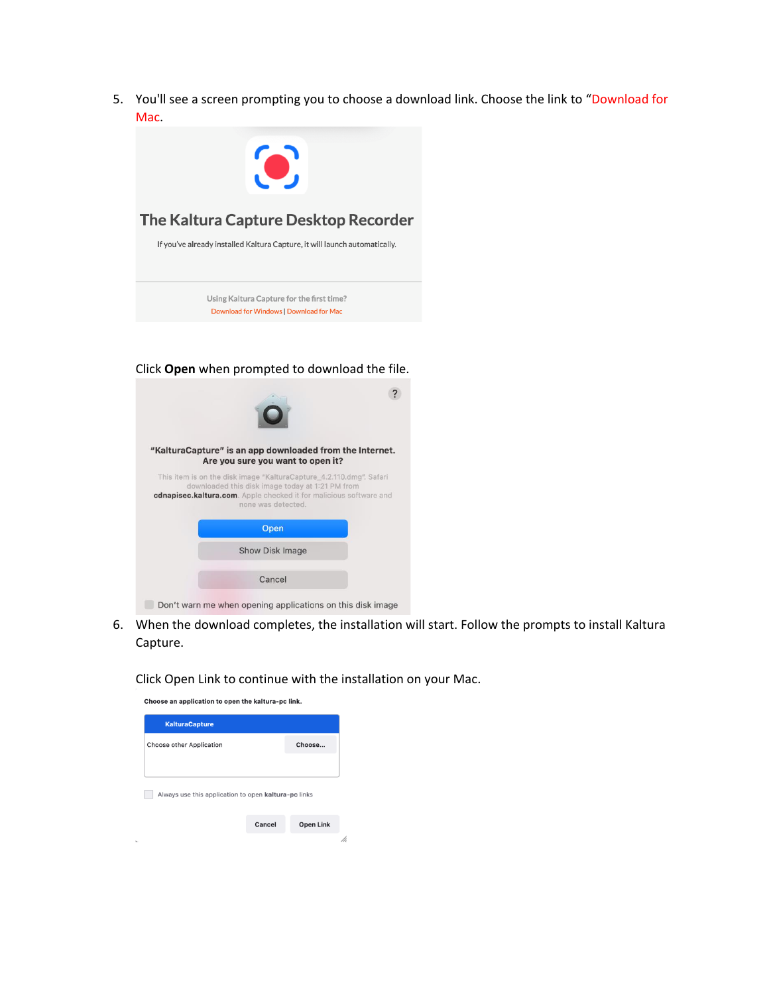5. You'll see a screen prompting you to choose a download link. Choose the link to "Download for Mac.



## Click **Open** when prompted to download the file.

| "KalturaCapture" is an app downloaded from the Internet.<br>Are you sure you want to open it?                                                                                                                       |
|---------------------------------------------------------------------------------------------------------------------------------------------------------------------------------------------------------------------|
| This item is on the disk image "KalturaCapture 4.2.110.dmg". Safari<br>downloaded this disk image today at 1:21 PM from<br>cdnapisec.kaltura.com. Apple checked it for malicious software and<br>none was detected. |
| Open                                                                                                                                                                                                                |
| <b>Show Disk Image</b>                                                                                                                                                                                              |
| Cancel                                                                                                                                                                                                              |
| Don't warn me when opening applications on this disk image                                                                                                                                                          |

6. When the download completes, the installation will start. Follow the prompts to install Kaltura Capture.

Click Open Link to continue with the installation on your Mac.

| Choose an application to open the kaltura-pc link.   |        |                  |
|------------------------------------------------------|--------|------------------|
| <b>KalturaCapture</b>                                |        |                  |
| <b>Choose other Application</b>                      |        | Choose           |
|                                                      |        |                  |
| Always use this application to open kaltura-pc links |        |                  |
|                                                      |        |                  |
|                                                      | Cancel | <b>Open Link</b> |
|                                                      |        |                  |

i.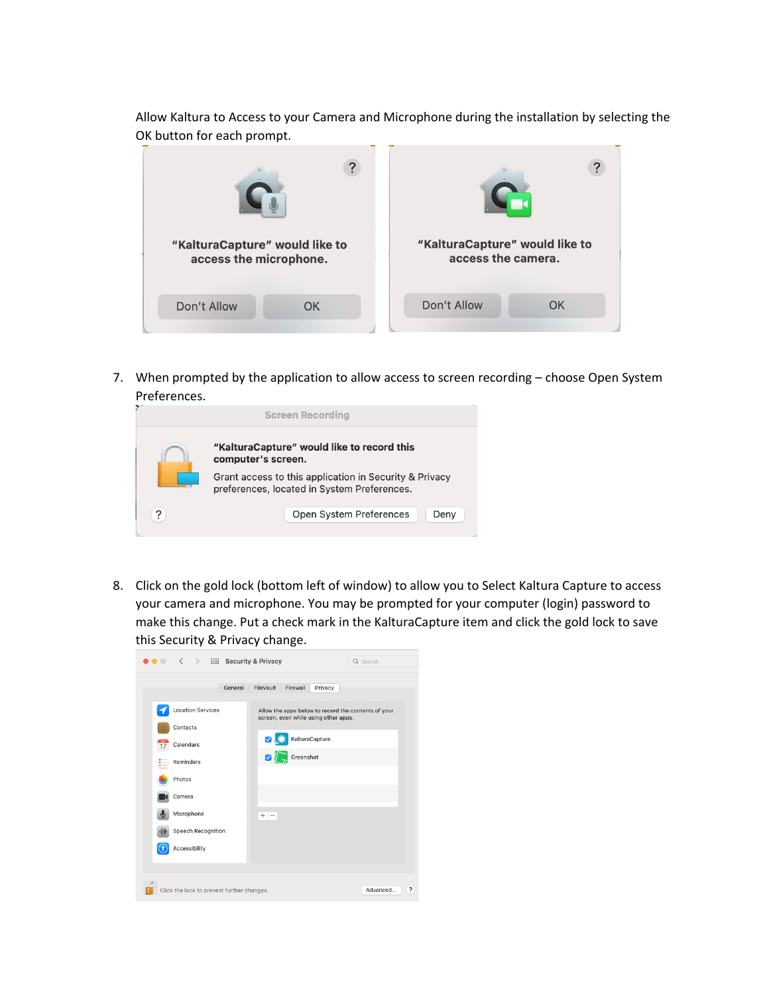Allow Kaltura to Access to your Camera and Microphone during the installation by selecting the OK button for each prompt.

| "KalturaCapture" would like to<br>access the microphone. |    | "KalturaCapture" would like to<br>access the camera. |    |
|----------------------------------------------------------|----|------------------------------------------------------|----|
| Don't Allow                                              | OK | Don't Allow                                          | OK |

7. When prompted by the application to allow access to screen recording – choose Open System Preferences.

| <b>Screen Recording</b> |                                                                                                       |  |  |
|-------------------------|-------------------------------------------------------------------------------------------------------|--|--|
|                         | "KalturaCapture" would like to record this<br>computer's screen.                                      |  |  |
|                         | Grant access to this application in Security & Privacy<br>preferences, located in System Preferences. |  |  |
| ?                       | Open System Preferences<br>Deny                                                                       |  |  |

8. Click on the gold lock (bottom left of window) to allow you to Select Kaltura Capture to access your camera and microphone. You may be prompted for your computer (login) password to make this change. Put a check mark in the KalturaCapture item and click the gold lock to save this Security & Privacy change.

| $\langle \rangle$ : :::: Security & Privacy | Q Search                                                                                    |
|---------------------------------------------|---------------------------------------------------------------------------------------------|
| General                                     | Firewall<br>FileVault  <br>Privacy                                                          |
| <b>Location Services</b>                    | Allow the apps below to record the contents of your<br>screen, even while using other apps. |
| Contacts                                    |                                                                                             |
| Calendars<br>17                             | KalturaCapture<br>☑                                                                         |
| Reminders                                   | Greenshot<br>ØĬ                                                                             |
| Photos                                      |                                                                                             |
| Camera                                      |                                                                                             |
| Microphone                                  | $+ -$                                                                                       |
| Speech Recognition<br>业                     |                                                                                             |
| Accessibility                               |                                                                                             |
|                                             |                                                                                             |
| Click the lock to prevent further changes.  | ?<br>Advanced                                                                               |